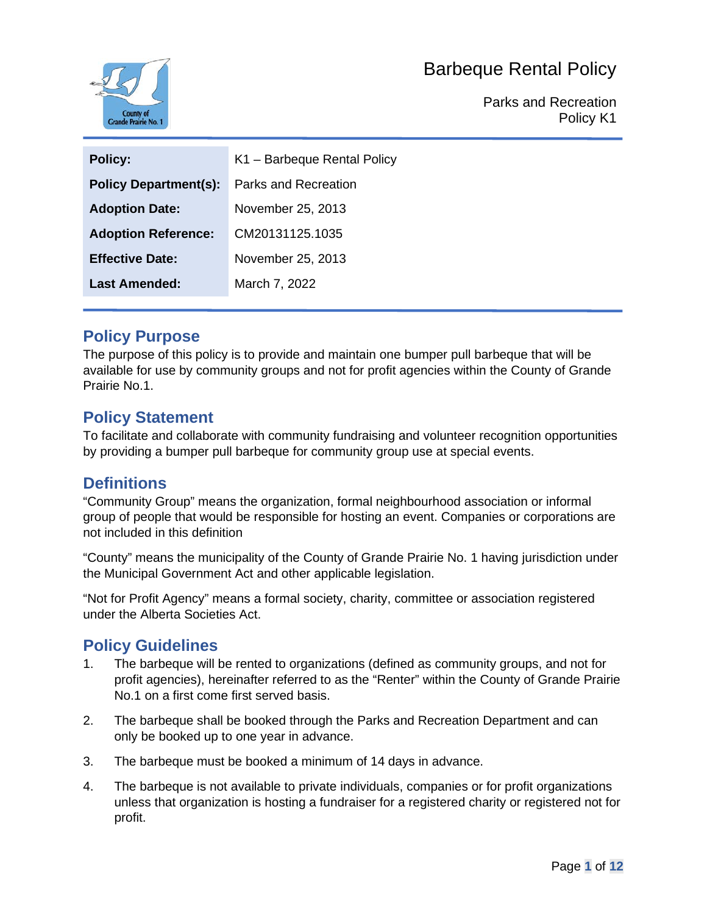

Parks and Recreation Policy K1

| <b>Policy:</b>               | K1 - Barbeque Rental Policy |
|------------------------------|-----------------------------|
| <b>Policy Department(s):</b> | Parks and Recreation        |
| <b>Adoption Date:</b>        | November 25, 2013           |
| <b>Adoption Reference:</b>   | CM20131125.1035             |
| <b>Effective Date:</b>       | November 25, 2013           |
| Last Amended:                | March 7, 2022               |

### **Policy Purpose**

The purpose of this policy is to provide and maintain one bumper pull barbeque that will be available for use by community groups and not for profit agencies within the County of Grande Prairie No.1.

### **Policy Statement**

To facilitate and collaborate with community fundraising and volunteer recognition opportunities by providing a bumper pull barbeque for community group use at special events.

### **Definitions**

"Community Group" means the organization, formal neighbourhood association or informal group of people that would be responsible for hosting an event. Companies or corporations are not included in this definition

"County" means the municipality of the County of Grande Prairie No. 1 having jurisdiction under the Municipal Government Act and other applicable legislation.

"Not for Profit Agency" means a formal society, charity, committee or association registered under the Alberta Societies Act.

### **Policy Guidelines**

- 1. The barbeque will be rented to organizations (defined as community groups, and not for profit agencies), hereinafter referred to as the "Renter" within the County of Grande Prairie No.1 on a first come first served basis.
- 2. The barbeque shall be booked through the Parks and Recreation Department and can only be booked up to one year in advance.
- 3. The barbeque must be booked a minimum of 14 days in advance.
- 4. The barbeque is not available to private individuals, companies or for profit organizations unless that organization is hosting a fundraiser for a registered charity or registered not for profit.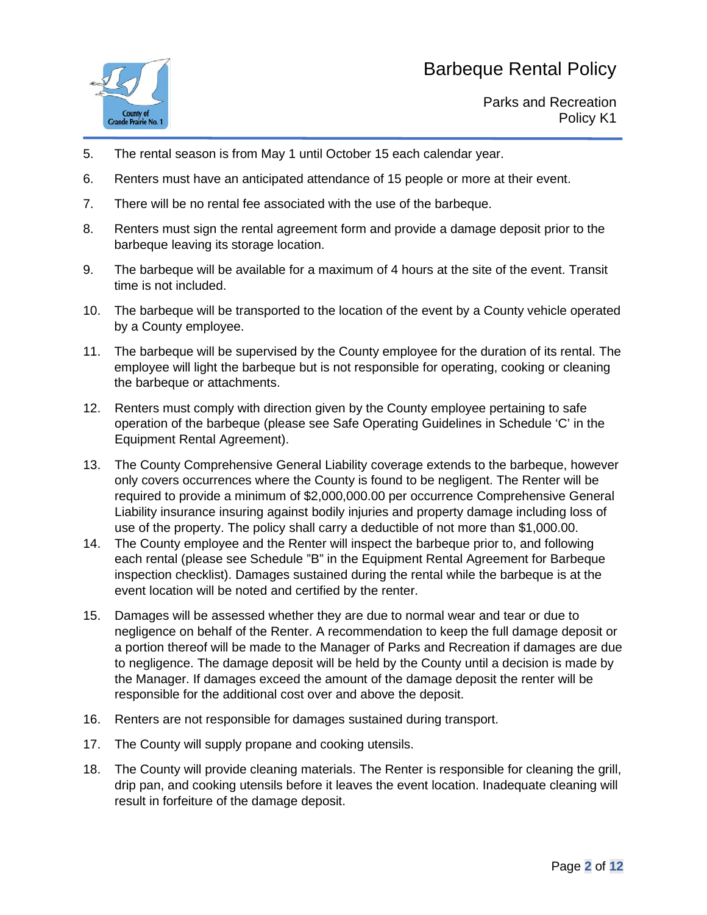

- 5. The rental season is from May 1 until October 15 each calendar year.
- 6. Renters must have an anticipated attendance of 15 people or more at their event.
- 7. There will be no rental fee associated with the use of the barbeque.
- 8. Renters must sign the rental agreement form and provide a damage deposit prior to the barbeque leaving its storage location.
- 9. The barbeque will be available for a maximum of 4 hours at the site of the event. Transit time is not included.
- 10. The barbeque will be transported to the location of the event by a County vehicle operated by a County employee.
- 11. The barbeque will be supervised by the County employee for the duration of its rental. The employee will light the barbeque but is not responsible for operating, cooking or cleaning the barbeque or attachments.
- 12. Renters must comply with direction given by the County employee pertaining to safe operation of the barbeque (please see Safe Operating Guidelines in Schedule 'C' in the Equipment Rental Agreement).
- 13. The County Comprehensive General Liability coverage extends to the barbeque, however only covers occurrences where the County is found to be negligent. The Renter will be required to provide a minimum of \$2,000,000.00 per occurrence Comprehensive General Liability insurance insuring against bodily injuries and property damage including loss of use of the property. The policy shall carry a deductible of not more than \$1,000.00.
- 14. The County employee and the Renter will inspect the barbeque prior to, and following each rental (please see Schedule "B" in the Equipment Rental Agreement for Barbeque inspection checklist). Damages sustained during the rental while the barbeque is at the event location will be noted and certified by the renter.
- 15. Damages will be assessed whether they are due to normal wear and tear or due to negligence on behalf of the Renter. A recommendation to keep the full damage deposit or a portion thereof will be made to the Manager of Parks and Recreation if damages are due to negligence. The damage deposit will be held by the County until a decision is made by the Manager. If damages exceed the amount of the damage deposit the renter will be responsible for the additional cost over and above the deposit.
- 16. Renters are not responsible for damages sustained during transport.
- 17. The County will supply propane and cooking utensils.
- 18. The County will provide cleaning materials. The Renter is responsible for cleaning the grill, drip pan, and cooking utensils before it leaves the event location. Inadequate cleaning will result in forfeiture of the damage deposit.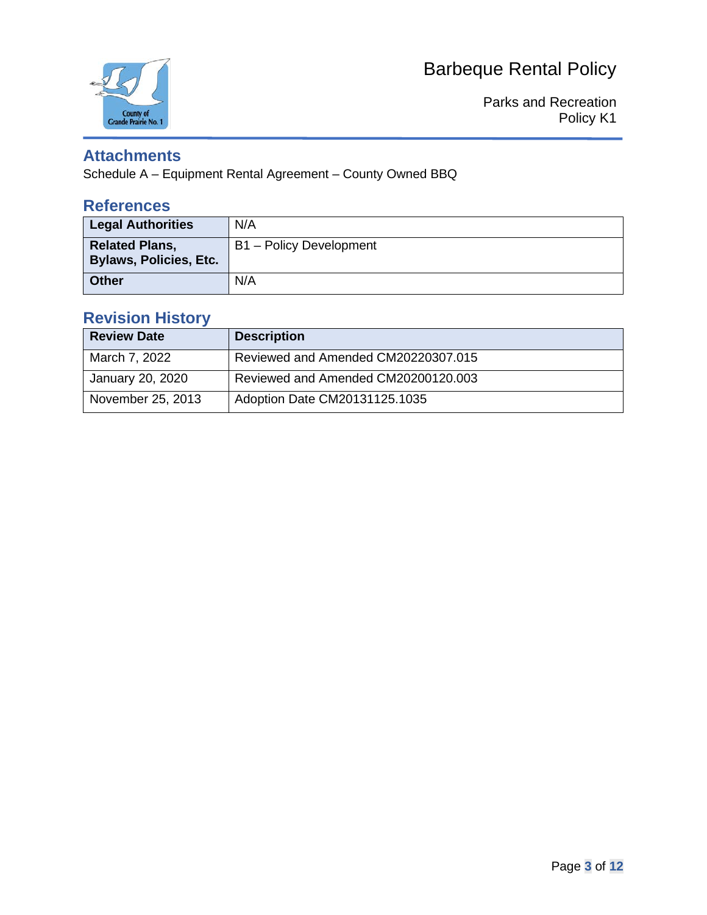

Parks and Recreation Policy K1

### **Attachments**

Schedule A – Equipment Rental Agreement – County Owned BBQ

### **References**

| <b>Legal Authorities</b>                               | N/A                     |
|--------------------------------------------------------|-------------------------|
| <b>Related Plans,</b><br><b>Bylaws, Policies, Etc.</b> | B1 - Policy Development |
| <b>Other</b>                                           | N/A                     |

## **Revision History**

| <b>Review Date</b> | <b>Description</b>                  |
|--------------------|-------------------------------------|
| March 7, 2022      | Reviewed and Amended CM20220307.015 |
| January 20, 2020   | Reviewed and Amended CM20200120.003 |
| November 25, 2013  | Adoption Date CM20131125.1035       |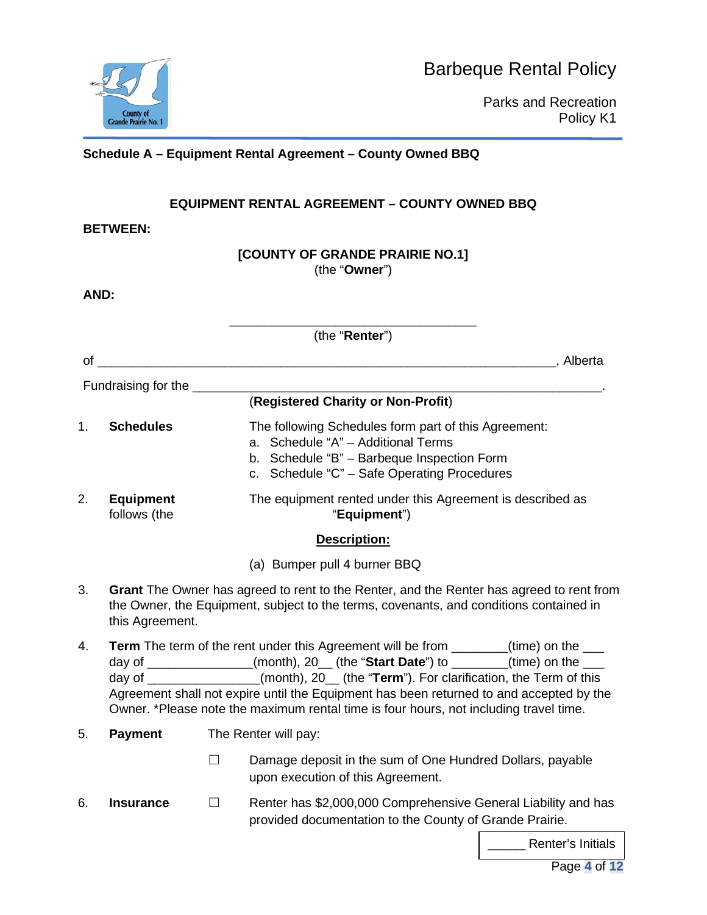

Parks and Recreation Policy K1

**Schedule A – Equipment Rental Agreement – County Owned BBQ**

### **EQUIPMENT RENTAL AGREEMENT – COUNTY OWNED BBQ**

**BETWEEN:**

#### **[COUNTY OF GRANDE PRAIRIE NO.1]** (the "**Owner**")

**AND:**

|    | (the "Renter")                   |         |                                                                                                                                                                                                                                                                                                                                                                                                                                                           |  |
|----|----------------------------------|---------|-----------------------------------------------------------------------------------------------------------------------------------------------------------------------------------------------------------------------------------------------------------------------------------------------------------------------------------------------------------------------------------------------------------------------------------------------------------|--|
|    | $\circ$ of                       |         |                                                                                                                                                                                                                                                                                                                                                                                                                                                           |  |
|    | Fundraising for the ____         |         |                                                                                                                                                                                                                                                                                                                                                                                                                                                           |  |
|    |                                  |         | (Registered Charity or Non-Profit)                                                                                                                                                                                                                                                                                                                                                                                                                        |  |
| 1. | <b>Schedules</b>                 |         | The following Schedules form part of this Agreement:<br>a. Schedule "A" - Additional Terms<br>b. Schedule "B" - Barbeque Inspection Form<br>c. Schedule "C" - Safe Operating Procedures                                                                                                                                                                                                                                                                   |  |
| 2. | <b>Equipment</b><br>follows (the |         | The equipment rented under this Agreement is described as<br>"Equipment")                                                                                                                                                                                                                                                                                                                                                                                 |  |
|    |                                  |         | Description:                                                                                                                                                                                                                                                                                                                                                                                                                                              |  |
|    |                                  |         | (a) Bumper pull 4 burner BBQ                                                                                                                                                                                                                                                                                                                                                                                                                              |  |
| 3. | this Agreement.                  |         | Grant The Owner has agreed to rent to the Renter, and the Renter has agreed to rent from<br>the Owner, the Equipment, subject to the terms, covenants, and conditions contained in                                                                                                                                                                                                                                                                        |  |
| 4. |                                  |         | <b>Term</b> The term of the rent under this Agreement will be from _______(time) on the ___<br>day of ______________(month), 20_ (the "Start Date") to ______(time) on the ___<br>day of _______________(month), 20_(the "Term"). For clarification, the Term of this<br>Agreement shall not expire until the Equipment has been returned to and accepted by the<br>Owner. *Please note the maximum rental time is four hours, not including travel time. |  |
| 5. | <b>Payment</b>                   |         | The Renter will pay:                                                                                                                                                                                                                                                                                                                                                                                                                                      |  |
|    |                                  |         | Damage deposit in the sum of One Hundred Dollars, payable<br>upon execution of this Agreement.                                                                                                                                                                                                                                                                                                                                                            |  |
| 6. | <b>Insurance</b>                 | $\perp$ | Renter has \$2,000,000 Comprehensive General Liability and has<br>provided documentation to the County of Grande Prairie.<br><u>the contract of the contract of the contract of the contract of the contract of the contract of the contract of the contract of the contract of the contract of the contract of the contract of the contract of the contract </u>                                                                                         |  |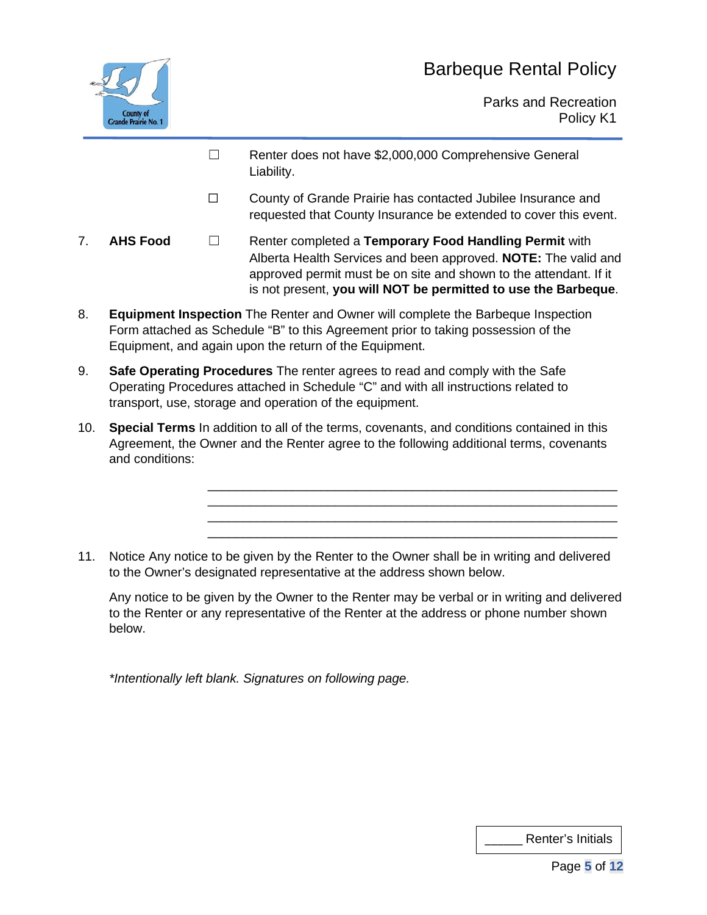

Parks and Recreation Policy K1

- ☐ Renter does not have \$2,000,000 Comprehensive General Liability.
- ☐ County of Grande Prairie has contacted Jubilee Insurance and requested that County Insurance be extended to cover this event.

\_\_\_\_\_\_\_\_\_\_\_\_\_\_\_\_\_\_\_\_\_\_\_\_\_\_\_\_\_\_\_\_\_\_\_\_\_\_\_\_\_\_\_\_\_\_\_\_\_\_\_\_\_\_\_\_\_\_ \_\_\_\_\_\_\_\_\_\_\_\_\_\_\_\_\_\_\_\_\_\_\_\_\_\_\_\_\_\_\_\_\_\_\_\_\_\_\_\_\_\_\_\_\_\_\_\_\_\_\_\_\_\_\_\_\_\_ \_\_\_\_\_\_\_\_\_\_\_\_\_\_\_\_\_\_\_\_\_\_\_\_\_\_\_\_\_\_\_\_\_\_\_\_\_\_\_\_\_\_\_\_\_\_\_\_\_\_\_\_\_\_\_\_\_\_ \_\_\_\_\_\_\_\_\_\_\_\_\_\_\_\_\_\_\_\_\_\_\_\_\_\_\_\_\_\_\_\_\_\_\_\_\_\_\_\_\_\_\_\_\_\_\_\_\_\_\_\_\_\_\_\_\_\_

- 7. **AHS Food** ☐ Renter completed a **Temporary Food Handling Permit** with Alberta Health Services and been approved. **NOTE:** The valid and approved permit must be on site and shown to the attendant. If it is not present, **you will NOT be permitted to use the Barbeque**.
- 8. **Equipment Inspection** The Renter and Owner will complete the Barbeque Inspection Form attached as Schedule "B" to this Agreement prior to taking possession of the Equipment, and again upon the return of the Equipment.
- 9. **Safe Operating Procedures** The renter agrees to read and comply with the Safe Operating Procedures attached in Schedule "C" and with all instructions related to transport, use, storage and operation of the equipment.
- 10. **Special Terms** In addition to all of the terms, covenants, and conditions contained in this Agreement, the Owner and the Renter agree to the following additional terms, covenants and conditions:
- 11. Notice Any notice to be given by the Renter to the Owner shall be in writing and delivered to the Owner's designated representative at the address shown below.

Any notice to be given by the Owner to the Renter may be verbal or in writing and delivered to the Renter or any representative of the Renter at the address or phone number shown below.

*\*Intentionally left blank. Signatures on following page.*

| Renter's Initials |  |
|-------------------|--|
|-------------------|--|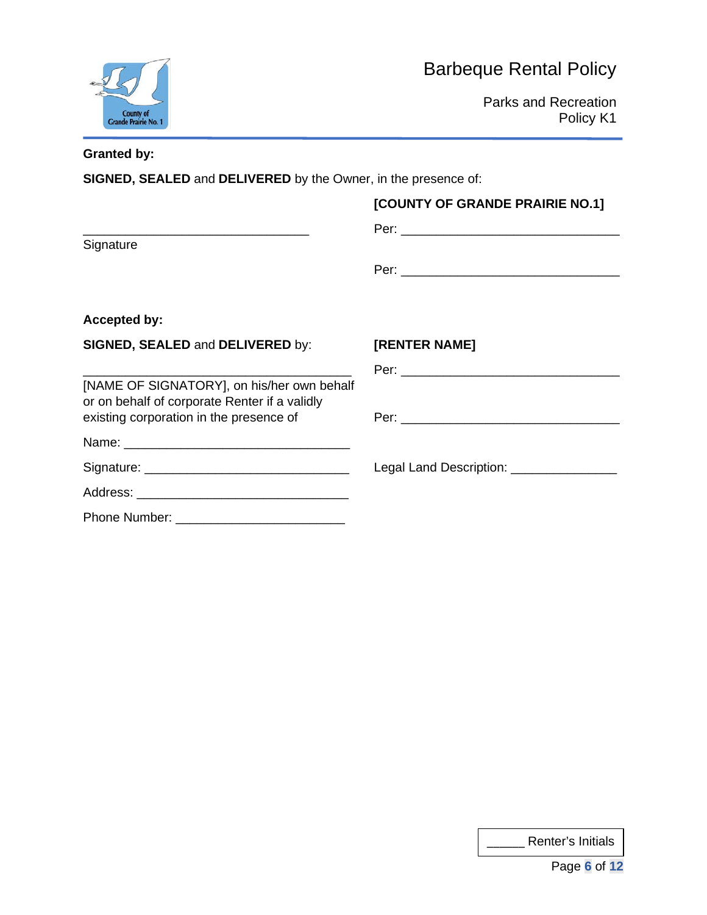



Parks and Recreation Policy K1

#### **Granted by:**

Signature

**SIGNED, SEALED** and **DELIVERED** by the Owner, in the presence of:

#### **[COUNTY OF GRANDE PRAIRIE NO.1]**

\_\_\_\_\_\_\_\_\_\_\_\_\_\_\_\_\_\_\_\_\_\_\_\_\_\_\_\_\_\_\_\_ Per: \_\_\_\_\_\_\_\_\_\_\_\_\_\_\_\_\_\_\_\_\_\_\_\_\_\_\_\_\_\_\_

Per: \_\_\_\_\_\_\_\_\_\_\_\_\_\_\_\_\_\_\_\_\_\_\_\_\_\_\_\_\_\_\_

### **Accepted by:**

| <b>SIGNED, SEALED and DELIVERED by:</b>                                                     | [RENTER NAME]                                   |
|---------------------------------------------------------------------------------------------|-------------------------------------------------|
|                                                                                             |                                                 |
| [NAME OF SIGNATORY], on his/her own behalf<br>or on behalf of corporate Renter if a validly |                                                 |
| existing corporation in the presence of                                                     |                                                 |
|                                                                                             |                                                 |
|                                                                                             | Legal Land Description: Legal Land Description: |
|                                                                                             |                                                 |
|                                                                                             |                                                 |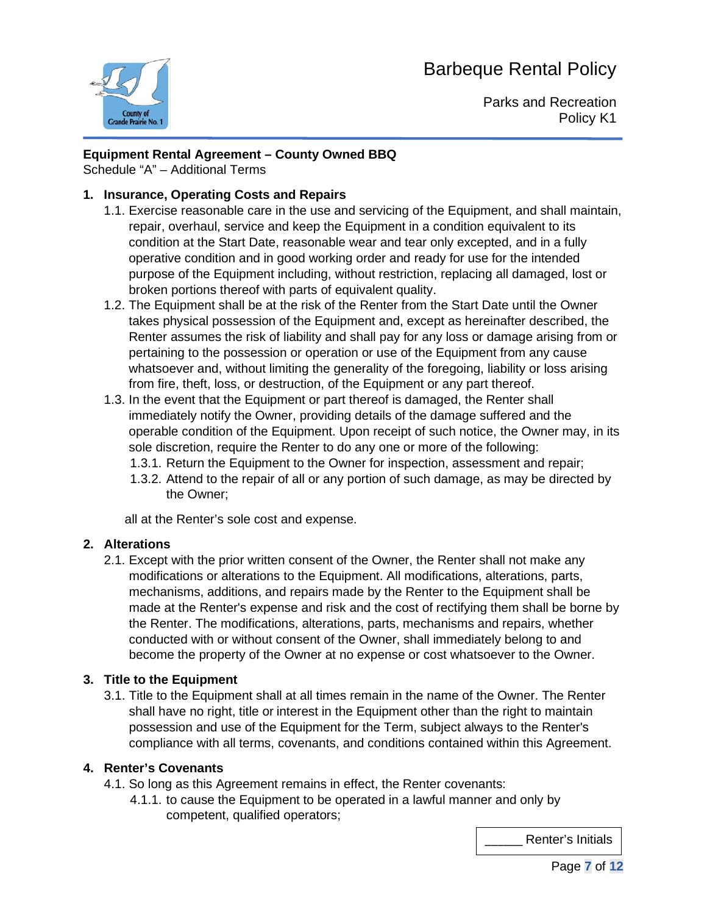

Parks and Recreation Policy K1

#### **Equipment Rental Agreement – County Owned BBQ**

Schedule "A" – Additional Terms

#### **1. Insurance, Operating Costs and Repairs**

- 1.1. Exercise reasonable care in the use and servicing of the Equipment, and shall maintain, repair, overhaul, service and keep the Equipment in a condition equivalent to its condition at the Start Date, reasonable wear and tear only excepted, and in a fully operative condition and in good working order and ready for use for the intended purpose of the Equipment including, without restriction, replacing all damaged, lost or broken portions thereof with parts of equivalent quality.
- 1.2. The Equipment shall be at the risk of the Renter from the Start Date until the Owner takes physical possession of the Equipment and, except as hereinafter described, the Renter assumes the risk of liability and shall pay for any loss or damage arising from or pertaining to the possession or operation or use of the Equipment from any cause whatsoever and, without limiting the generality of the foregoing, liability or loss arising from fire, theft, loss, or destruction, of the Equipment or any part thereof.
- 1.3. In the event that the Equipment or part thereof is damaged, the Renter shall immediately notify the Owner, providing details of the damage suffered and the operable condition of the Equipment. Upon receipt of such notice, the Owner may, in its sole discretion, require the Renter to do any one or more of the following:
	- 1.3.1. Return the Equipment to the Owner for inspection, assessment and repair;
	- 1.3.2. Attend to the repair of all or any portion of such damage, as may be directed by the Owner;

all at the Renter's sole cost and expense.

#### **2. Alterations**

2.1. Except with the prior written consent of the Owner, the Renter shall not make any modifications or alterations to the Equipment. All modifications, alterations, parts, mechanisms, additions, and repairs made by the Renter to the Equipment shall be made at the Renter's expense and risk and the cost of rectifying them shall be borne by the Renter. The modifications, alterations, parts, mechanisms and repairs, whether conducted with or without consent of the Owner, shall immediately belong to and become the property of the Owner at no expense or cost whatsoever to the Owner.

#### **3. Title to the Equipment**

3.1. Title to the Equipment shall at all times remain in the name of the Owner. The Renter shall have no right, title or interest in the Equipment other than the right to maintain possession and use of the Equipment for the Term, subject always to the Renter's compliance with all terms, covenants, and conditions contained within this Agreement.

#### **4. Renter's Covenants**

- 4.1. So long as this Agreement remains in effect, the Renter covenants:
	- 4.1.1. to cause the Equipment to be operated in a lawful manner and only by competent, qualified operators;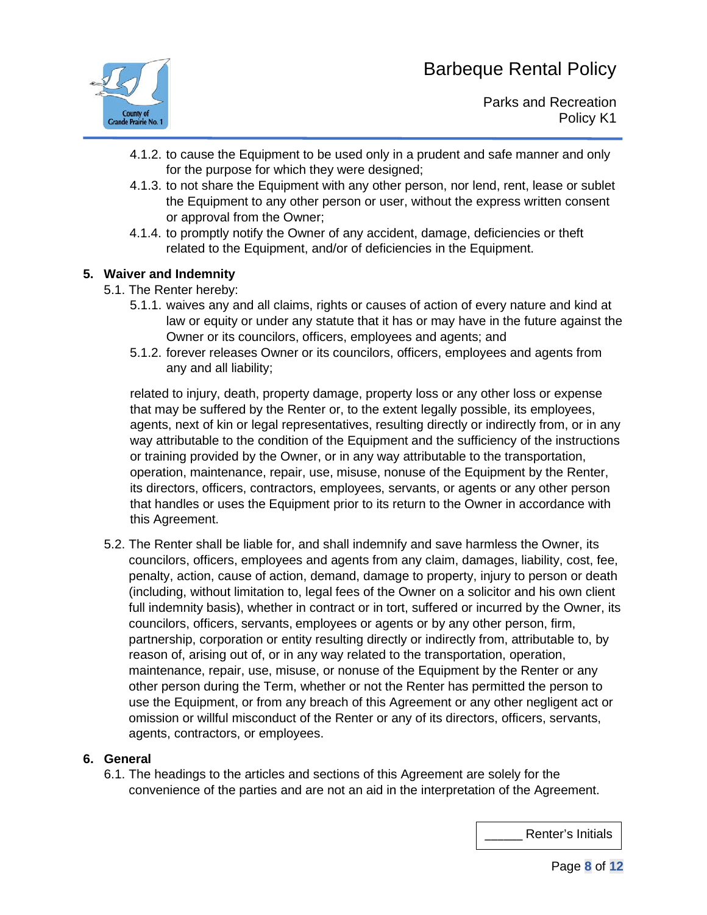

- 4.1.2. to cause the Equipment to be used only in a prudent and safe manner and only for the purpose for which they were designed;
- 4.1.3. to not share the Equipment with any other person, nor lend, rent, lease or sublet the Equipment to any other person or user, without the express written consent or approval from the Owner;
- 4.1.4. to promptly notify the Owner of any accident, damage, deficiencies or theft related to the Equipment, and/or of deficiencies in the Equipment.

#### **5. Waiver and Indemnity**

- 5.1. The Renter hereby:
	- 5.1.1. waives any and all claims, rights or causes of action of every nature and kind at law or equity or under any statute that it has or may have in the future against the Owner or its councilors, officers, employees and agents; and
	- 5.1.2. forever releases Owner or its councilors, officers, employees and agents from any and all liability;

related to injury, death, property damage, property loss or any other loss or expense that may be suffered by the Renter or, to the extent legally possible, its employees, agents, next of kin or legal representatives, resulting directly or indirectly from, or in any way attributable to the condition of the Equipment and the sufficiency of the instructions or training provided by the Owner, or in any way attributable to the transportation, operation, maintenance, repair, use, misuse, nonuse of the Equipment by the Renter, its directors, officers, contractors, employees, servants, or agents or any other person that handles or uses the Equipment prior to its return to the Owner in accordance with this Agreement.

5.2. The Renter shall be liable for, and shall indemnify and save harmless the Owner, its councilors, officers, employees and agents from any claim, damages, liability, cost, fee, penalty, action, cause of action, demand, damage to property, injury to person or death (including, without limitation to, legal fees of the Owner on a solicitor and his own client full indemnity basis), whether in contract or in tort, suffered or incurred by the Owner, its councilors, officers, servants, employees or agents or by any other person, firm, partnership, corporation or entity resulting directly or indirectly from, attributable to, by reason of, arising out of, or in any way related to the transportation, operation, maintenance, repair, use, misuse, or nonuse of the Equipment by the Renter or any other person during the Term, whether or not the Renter has permitted the person to use the Equipment, or from any breach of this Agreement or any other negligent act or omission or willful misconduct of the Renter or any of its directors, officers, servants, agents, contractors, or employees.

#### **6. General**

6.1. The headings to the articles and sections of this Agreement are solely for the convenience of the parties and are not an aid in the interpretation of the Agreement.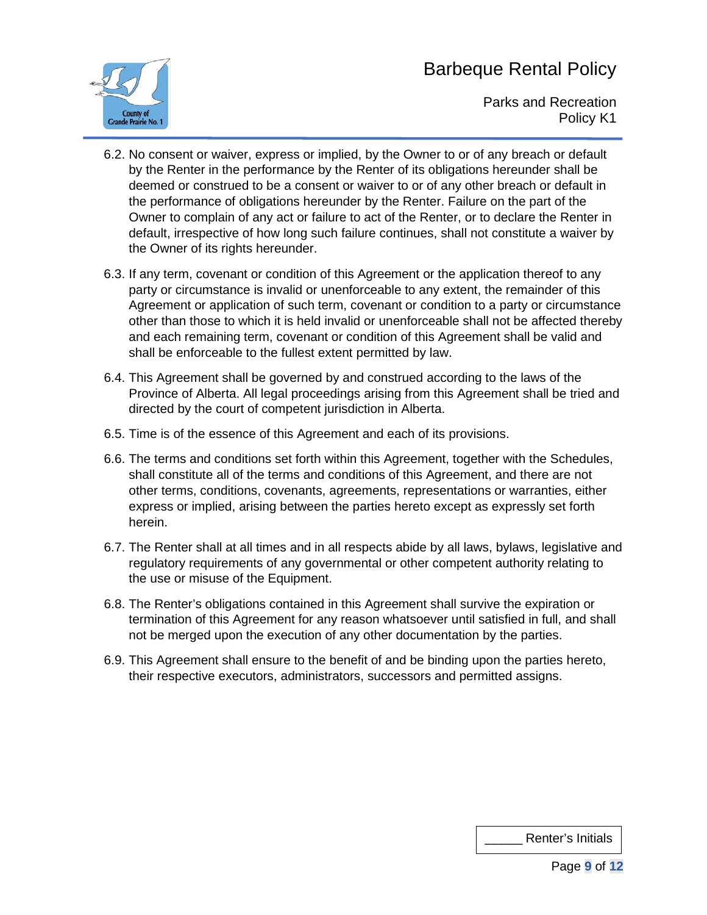

Parks and Recreation Policy K1

- 6.2. No consent or waiver, express or implied, by the Owner to or of any breach or default by the Renter in the performance by the Renter of its obligations hereunder shall be deemed or construed to be a consent or waiver to or of any other breach or default in the performance of obligations hereunder by the Renter. Failure on the part of the Owner to complain of any act or failure to act of the Renter, or to declare the Renter in default, irrespective of how long such failure continues, shall not constitute a waiver by the Owner of its rights hereunder.
- 6.3. If any term, covenant or condition of this Agreement or the application thereof to any party or circumstance is invalid or unenforceable to any extent, the remainder of this Agreement or application of such term, covenant or condition to a party or circumstance other than those to which it is held invalid or unenforceable shall not be affected thereby and each remaining term, covenant or condition of this Agreement shall be valid and shall be enforceable to the fullest extent permitted by law.
- 6.4. This Agreement shall be governed by and construed according to the laws of the Province of Alberta. All legal proceedings arising from this Agreement shall be tried and directed by the court of competent jurisdiction in Alberta.
- 6.5. Time is of the essence of this Agreement and each of its provisions.
- 6.6. The terms and conditions set forth within this Agreement, together with the Schedules, shall constitute all of the terms and conditions of this Agreement, and there are not other terms, conditions, covenants, agreements, representations or warranties, either express or implied, arising between the parties hereto except as expressly set forth herein.
- 6.7. The Renter shall at all times and in all respects abide by all laws, bylaws, legislative and regulatory requirements of any governmental or other competent authority relating to the use or misuse of the Equipment.
- 6.8. The Renter's obligations contained in this Agreement shall survive the expiration or termination of this Agreement for any reason whatsoever until satisfied in full, and shall not be merged upon the execution of any other documentation by the parties.
- 6.9. This Agreement shall ensure to the benefit of and be binding upon the parties hereto, their respective executors, administrators, successors and permitted assigns.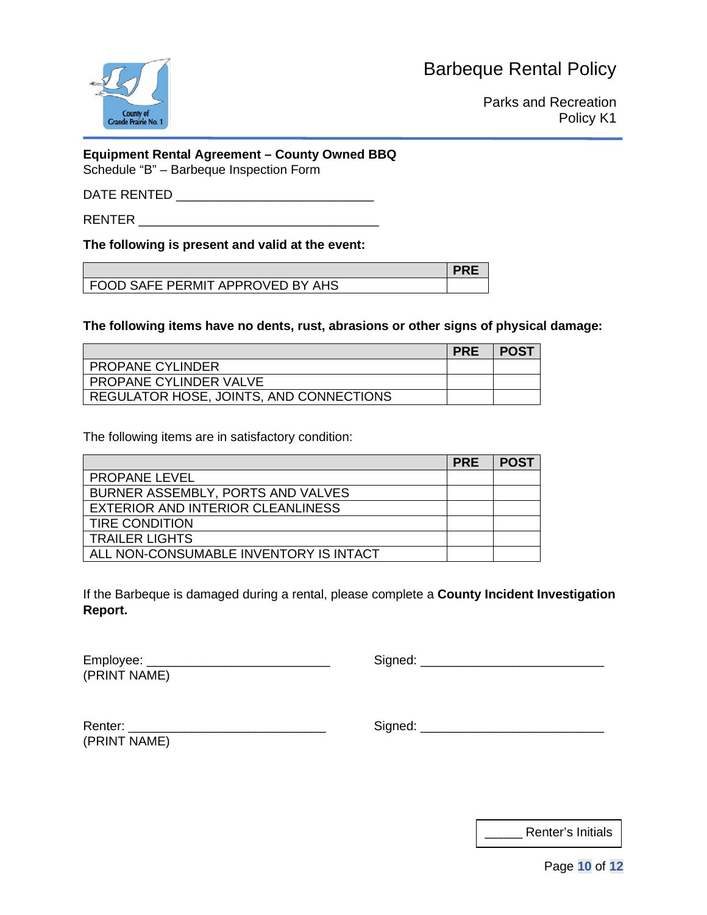

Parks and Recreation Policy K1

### **Equipment Rental Agreement – County Owned BBQ**

Schedule "B" – Barbeque Inspection Form

#### DATE RENTED \_\_\_\_\_\_\_\_\_\_\_\_\_\_\_\_\_\_\_\_\_\_\_\_\_\_\_\_

RENTER \_\_\_\_\_\_\_\_\_\_\_\_\_\_\_\_\_\_\_\_\_\_\_\_\_\_\_\_\_\_\_\_\_\_

#### **The following is present and valid at the event:**

| I FOOD SAFE PERMIT APPROVED BY AHS |  |
|------------------------------------|--|

**The following items have no dents, rust, abrasions or other signs of physical damage:**

|                                         | <b>PRE</b> | POST |
|-----------------------------------------|------------|------|
| <b>PROPANE CYLINDER</b>                 |            |      |
| I PROPANE CYLINDER VALVE                |            |      |
| REGULATOR HOSE, JOINTS, AND CONNECTIONS |            |      |

The following items are in satisfactory condition:

|                                        | <b>PRE</b> | <b>POST</b> |
|----------------------------------------|------------|-------------|
| <b>PROPANE LEVEL</b>                   |            |             |
| BURNER ASSEMBLY, PORTS AND VALVES      |            |             |
| EXTERIOR AND INTERIOR CLEANLINESS      |            |             |
| <b>TIRE CONDITION</b>                  |            |             |
| <b>TRAILER LIGHTS</b>                  |            |             |
| ALL NON-CONSUMABLE INVENTORY IS INTACT |            |             |

If the Barbeque is damaged during a rental, please complete a **County Incident Investigation Report.**

| Employee:    |  |  |
|--------------|--|--|
| (PRINT NAME) |  |  |

Employee: \_\_\_\_\_\_\_\_\_\_\_\_\_\_\_\_\_\_\_\_\_\_\_\_\_\_ Signed: \_\_\_\_\_\_\_\_\_\_\_\_\_\_\_\_\_\_\_\_\_\_\_\_\_\_

| Renter:      |  |
|--------------|--|
| (PRINT NAME) |  |

 $Signed:$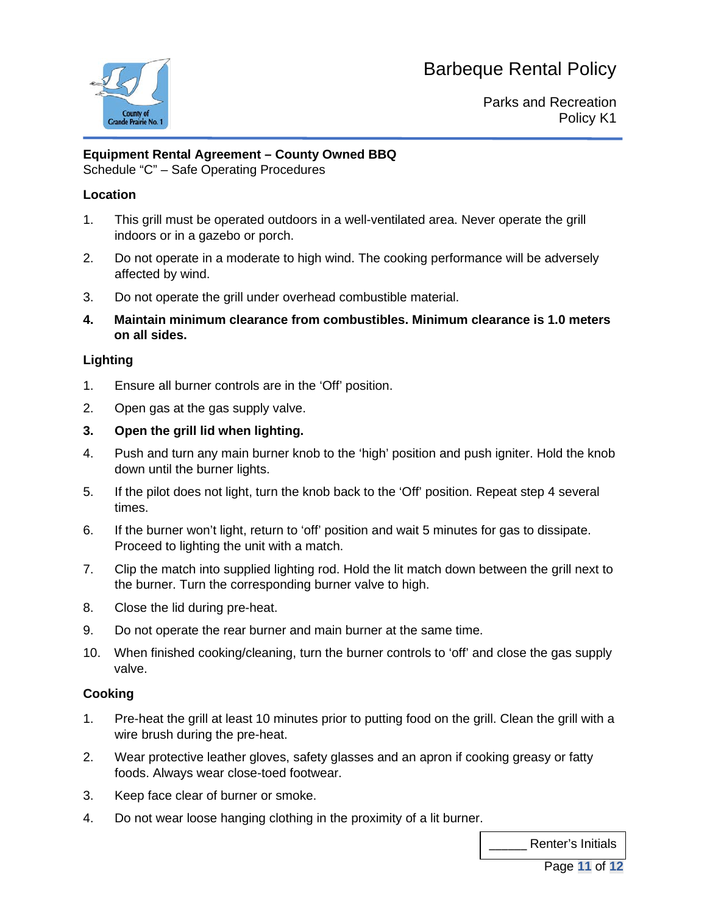

Parks and Recreation Policy K1

#### **Equipment Rental Agreement – County Owned BBQ**

Schedule "C" – Safe Operating Procedures

#### **Location**

- 1. This grill must be operated outdoors in a well-ventilated area. Never operate the grill indoors or in a gazebo or porch.
- 2. Do not operate in a moderate to high wind. The cooking performance will be adversely affected by wind.
- 3. Do not operate the grill under overhead combustible material.
- **4. Maintain minimum clearance from combustibles. Minimum clearance is 1.0 meters on all sides.**

#### **Lighting**

- 1. Ensure all burner controls are in the 'Off' position.
- 2. Open gas at the gas supply valve.
- **3. Open the grill lid when lighting.**
- 4. Push and turn any main burner knob to the 'high' position and push igniter. Hold the knob down until the burner lights.
- 5. If the pilot does not light, turn the knob back to the 'Off' position. Repeat step 4 several times.
- 6. If the burner won't light, return to 'off' position and wait 5 minutes for gas to dissipate. Proceed to lighting the unit with a match.
- 7. Clip the match into supplied lighting rod. Hold the lit match down between the grill next to the burner. Turn the corresponding burner valve to high.
- 8. Close the lid during pre-heat.
- 9. Do not operate the rear burner and main burner at the same time.
- 10. When finished cooking/cleaning, turn the burner controls to 'off' and close the gas supply valve.

#### **Cooking**

- 1. Pre-heat the grill at least 10 minutes prior to putting food on the grill. Clean the grill with a wire brush during the pre-heat.
- 2. Wear protective leather gloves, safety glasses and an apron if cooking greasy or fatty foods. Always wear close-toed footwear.
- 3. Keep face clear of burner or smoke.
- 4. Do not wear loose hanging clothing in the proximity of a lit burner.